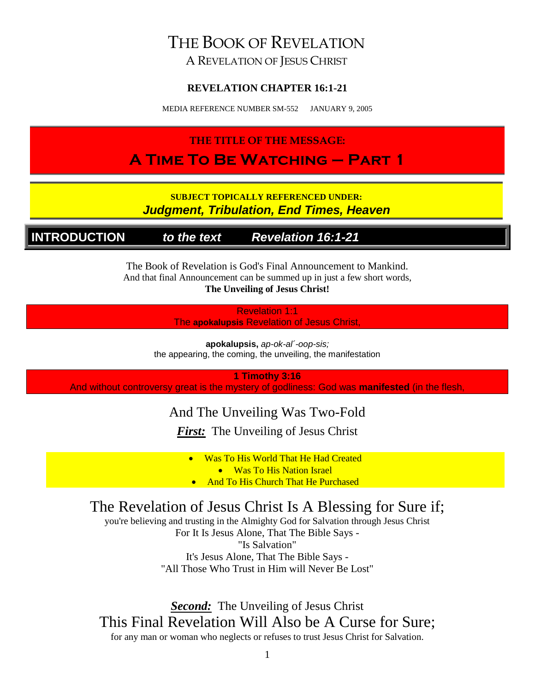# THE BOOK OF REVELATION

A REVELATION OF JESUS CHRIST

#### **REVELATION CHAPTER 16:1-21**

MEDIA REFERENCE NUMBER SM-552 JANUARY 9, 2005

### **THE TITLE OF THE MESSAGE: A Time To Be Watching – Part 1**

#### **SUBJECT TOPICALLY REFERENCED UNDER:** *Judgment, Tribulation, End Times, Heaven*

**INTRODUCTION** *to the text Revelation 16:1-21*

The Book of Revelation is God's Final Announcement to Mankind. And that final Announcement can be summed up in just a few short words, **The Unveiling of Jesus Christ!**

> Revelation 1:1 The **apokalupsis** Revelation of Jesus Christ,

**apokalupsis,** *ap-ok-al´-oop-sis;* the appearing, the coming, the unveiling, the manifestation

**1 Timothy 3:16**

And without controversy great is the mystery of godliness: God was **manifested** (in the flesh,

### And The Unveiling Was Two-Fold

*First:* The Unveiling of Jesus Christ

• Was To His World That He Had Created

• Was To His Nation Israel

**And To His Church That He Purchased** 

# The Revelation of Jesus Christ Is A Blessing for Sure if;

you're believing and trusting in the Almighty God for Salvation through Jesus Christ

For It Is Jesus Alone, That The Bible Says - "Is Salvation" It's Jesus Alone, That The Bible Says - "All Those Who Trust in Him will Never Be Lost"

*Second:* The Unveiling of Jesus Christ This Final Revelation Will Also be A Curse for Sure; for any man or woman who neglects or refuses to trust Jesus Christ for Salvation.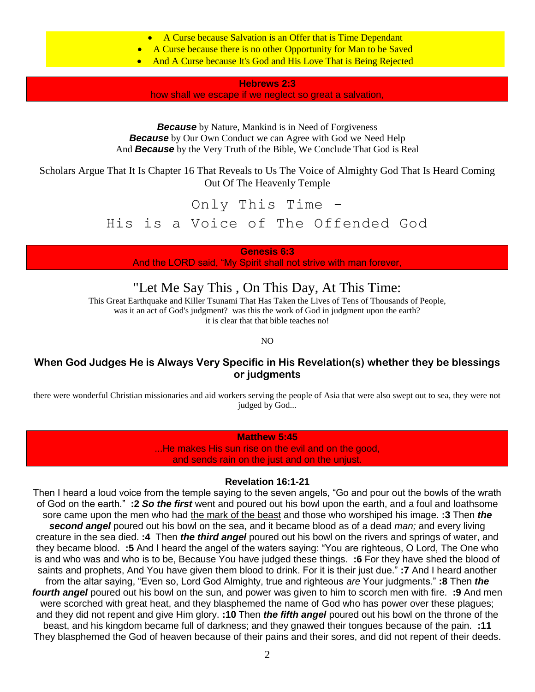- A Curse because Salvation is an Offer that is Time Dependant
- A Curse because there is no other Opportunity for Man to be Saved
- And A Curse because It's God and His Love That is Being Rejected

**Hebrews 2:3**

how shall we escape if we neglect so great a salvation,

*Because* by Nature, Mankind is in Need of Forgiveness **Because** by Our Own Conduct we can Agree with God we Need Help And *Because* by the Very Truth of the Bible, We Conclude That God is Real

Scholars Argue That It Is Chapter 16 That Reveals to Us The Voice of Almighty God That Is Heard Coming Out Of The Heavenly Temple

Only This Time -

His is a Voice of The Offended God

**Genesis 6:3** And the LORD said, "My Spirit shall not strive with man forever,

"Let Me Say This , On This Day, At This Time:

This Great Earthquake and Killer Tsunami That Has Taken the Lives of Tens of Thousands of People, was it an act of God's judgment? was this the work of God in judgment upon the earth? it is clear that that bible teaches no!

NO

#### **When God Judges He is Always Very Specific in His Revelation(s) whether they be blessings or judgments**

there were wonderful Christian missionaries and aid workers serving the people of Asia that were also swept out to sea, they were not judged by God...

#### **Matthew 5:45**

...He makes His sun rise on the evil and on the good, and sends rain on the just and on the unjust.

#### **Revelation 16:1-21**

Then I heard a loud voice from the temple saying to the seven angels, "Go and pour out the bowls of the wrath of God on the earth." **:2** *So the first* went and poured out his bowl upon the earth, and a foul and loathsome sore came upon the men who had the mark of the beast and those who worshiped his image. **:3** Then *the second angel* poured out his bowl on the sea, and it became blood as of a dead *man;* and every living creature in the sea died. **:4** Then *the third angel* poured out his bowl on the rivers and springs of water, and they became blood. **:5** And I heard the angel of the waters saying: "You are righteous, O Lord, The One who is and who was and who is to be, Because You have judged these things. **:6** For they have shed the blood of saints and prophets, And You have given them blood to drink. For it is their just due." **:7** And I heard another from the altar saying, "Even so, Lord God Almighty, true and righteous *are* Your judgments." **:8** Then *the fourth angel* poured out his bowl on the sun, and power was given to him to scorch men with fire. **:9** And men were scorched with great heat, and they blasphemed the name of God who has power over these plagues; and they did not repent and give Him glory. **:10** Then *the fifth angel* poured out his bowl on the throne of the beast, and his kingdom became full of darkness; and they gnawed their tongues because of the pain. **:11** They blasphemed the God of heaven because of their pains and their sores, and did not repent of their deeds.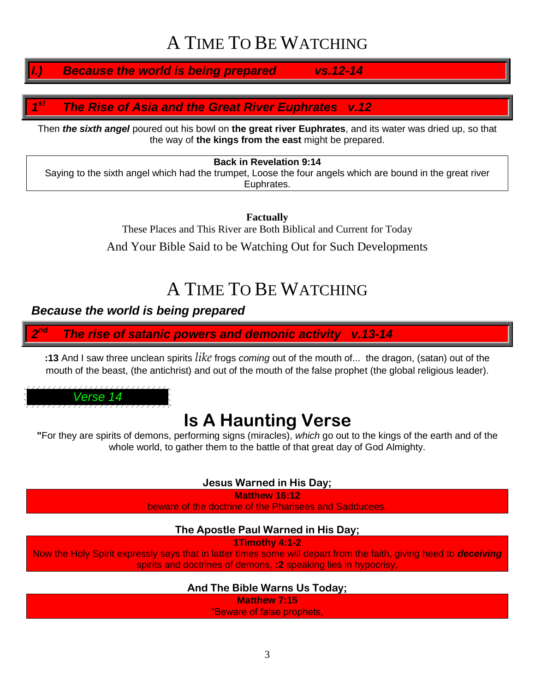# A TIME TO BE WATCHING

*I.) Because the world is being prepared vs.12-14*

#### *1 st The Rise of Asia and the Great River Euphrates v.12*

Then *the sixth angel* poured out his bowl on **the great river Euphrates**, and its water was dried up, so that the way of **the kings from the east** might be prepared.

#### **Back in Revelation 9:14**

Saying to the sixth angel which had the trumpet, Loose the four angels which are bound in the great river Euphrates.

> **Factually** These Places and This River are Both Biblical and Current for Today And Your Bible Said to be Watching Out for Such Developments

# A TIME TO BE WATCHING

#### *Because the world is being prepared*

*2* **The rise of satanic powers and demonic activity v.13-14** 

**:13** And I saw three unclean spirits *like* frogs *coming* out of the mouth of... the dragon, (satan) out of the mouth of the beast, (the antichrist) and out of the mouth of the false prophet (the global religious leader).

*Verse 14*

# **Is A Haunting Verse**

**"**For they are spirits of demons, performing signs (miracles), *which* go out to the kings of the earth and of the whole world, to gather them to the battle of that great day of God Almighty.

**Jesus Warned in His Day;**

**Matthew 16:12**

beware of the doctrine of the Pharisees and Sadducees.

#### **The Apostle Paul Warned in His Day;**

**1Timothy 4:1-2**

Now the Holy Spirit expressly says that in latter times some will depart from the faith, giving heed to *deceiving* spirits and doctrines of demons, **:2** speaking lies in hypocrisy,

#### **And The Bible Warns Us Today;**

**Matthew 7:15**

"Beware of false prophets,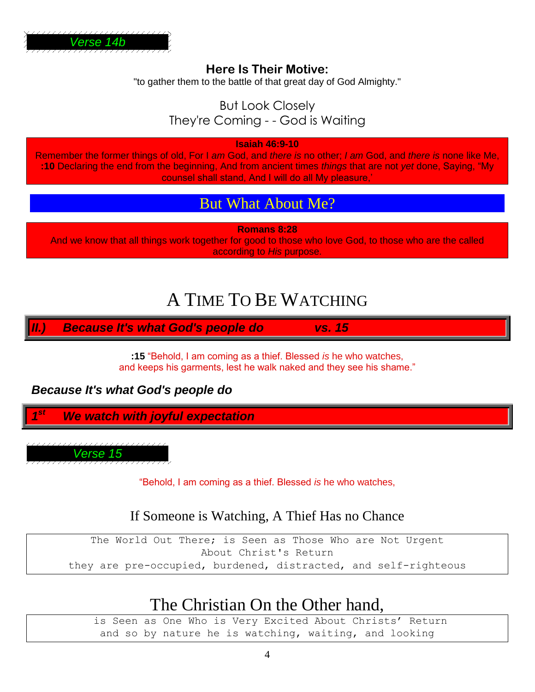

#### **Here Is Their Motive:**

"to gather them to the battle of that great day of God Almighty."

### But Look Closely They're Coming - - God is Waiting

**Isaiah 46:9-10**

Remember the former things of old, For I *am* God, and *there is* no other; *I am* God, and *there is* none like Me, **:10** Declaring the end from the beginning, And from ancient times *things* that are not *yet* done, Saying, "My counsel shall stand, And I will do all My pleasure,'

### But What About Me?

**Romans 8:28**

And we know that all things work together for good to those who love God, to those who are the called according to *His* purpose.

# A TIME TO BE WATCHING

*II.) Because It's what God's people do vs. 15*

**:15** "Behold, I am coming as a thief. Blessed *is* he who watches, and keeps his garments, lest he walk naked and they see his shame."

*Because It's what God's people do*

*1 We watch with joyful expectation* 

*Verse 15*

"Behold, I am coming as a thief. Blessed *is* he who watches,

### If Someone is Watching, A Thief Has no Chance

The World Out There; is Seen as Those Who are Not Urgent About Christ's Return they are pre-occupied, burdened, distracted, and self-righteous

# The Christian On the Other hand,

is Seen as One Who is Very Excited About Christs' Return and so by nature he is watching, waiting, and looking